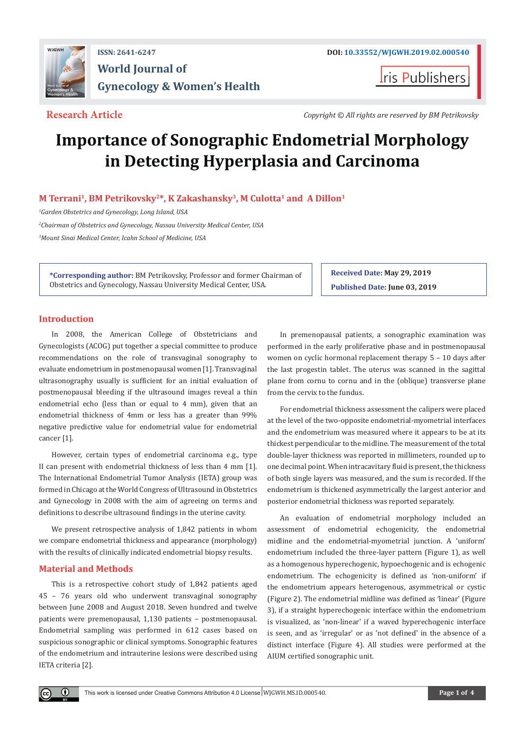

**Iris Publishers** 

**Research Article** *Copyright © All rights are reserved by BM Petrikovsky*

# **Importance of Sonographic Endometrial Morphology in Detecting Hyperplasia and Carcinoma**

# **M Terrani1, BM Petrikovsky2\*, K Zakashansky3, M Culotta1 and A Dillon1**

*1 Garden Obstetrics and Gynecology, Long Island, USA*

*2 Chairman of Obstetrics and Gynecology, Nassau University Medical Center, USA 3 Mount Sinai Medical Center, Icahn School of Medicine, USA*

**\*Corresponding author:** BM Petrikovsky, Professor and former Chairman of Obstetrics and Gynecology, Nassau University Medical Center, USA.

**Published Date: June 03, 2019**

**Received Date: May 29, 2019**

# **Introduction**

In 2008, the American College of Obstetricians and Gynecologists (ACOG) put together a special committee to produce recommendations on the role of transvaginal sonography to evaluate endometrium in postmenopausal women [1]. Transvaginal ultrasonography usually is sufficient for an initial evaluation of postmenopausal bleeding if the ultrasound images reveal a thin endometrial echo (less than or equal to 4 mm), given that an endometrial thickness of 4mm or less has a greater than 99% negative predictive value for endometrial value for endometrial cancer [1].

However, certain types of endometrial carcinoma e.g., type II can present with endometrial thickness of less than 4 mm [1]. The International Endometrial Tumor Analysis (IETA) group was formed in Chicago at the World Congress of Ultrasound in Obstetrics and Gynecology in 2008 with the aim of agreeing on terms and definitions to describe ultrasound findings in the uterine cavity.

We present retrospective analysis of 1,842 patients in whom we compare endometrial thickness and appearance (morphology) with the results of clinically indicated endometrial biopsy results.

# **Material and Methods**

 $\bf \Theta$ 

This is a retrospective cohort study of 1,842 patients aged 45 – 76 years old who underwent transvaginal sonography between June 2008 and August 2018. Seven hundred and twelve patients were premenopausal, 1,130 patients – postmenopausal. Endometrial sampling was performed in 612 cases based on suspicious sonographic or clinical symptoms. Sonographic features of the endometrium and intrauterine lesions were described using IETA criteria [2].

In premenopausal patients, a sonographic examination was performed in the early proliferative phase and in postmenopausal women on cyclic hormonal replacement therapy 5 – 10 days after the last progestin tablet. The uterus was scanned in the sagittal plane from cornu to cornu and in the (oblique) transverse plane from the cervix to the fundus.

For endometrial thickness assessment the calipers were placed at the level of the two-opposite endometrial-myometrial interfaces and the endometrium was measured where it appears to be at its thickest perpendicular to the midline. The measurement of the total double-layer thickness was reported in millimeters, rounded up to one decimal point. When intracavitary fluid is present, the thickness of both single layers was measured, and the sum is recorded. If the endometrium is thickened asymmetrically the largest anterior and posterior endometrial thickness was reported separately.

An evaluation of endometrial morphology included an assessment of endometrial echogenicity, the endometrial midline and the endometrial-myometrial junction. A 'uniform' endometrium included the three-layer pattern (Figure 1), as well as a homogenous hyperechogenic, hypoechogenic and is echogenic endometrium. The echogenicity is defined as 'non-uniform' if the endometrium appears heterogenous, asymmetrical or cystic (Figure 2). The endometrial midline was defined as 'linear' (Figure 3), if a straight hyperechogenic interface within the endometrium is visualized, as 'non-linear' if a waved hyperechogenic interface is seen, and as 'irregular' or as 'not defined' in the absence of a distinct interface (Figure 4). All studies were performed at the AIUM certified sonographic unit.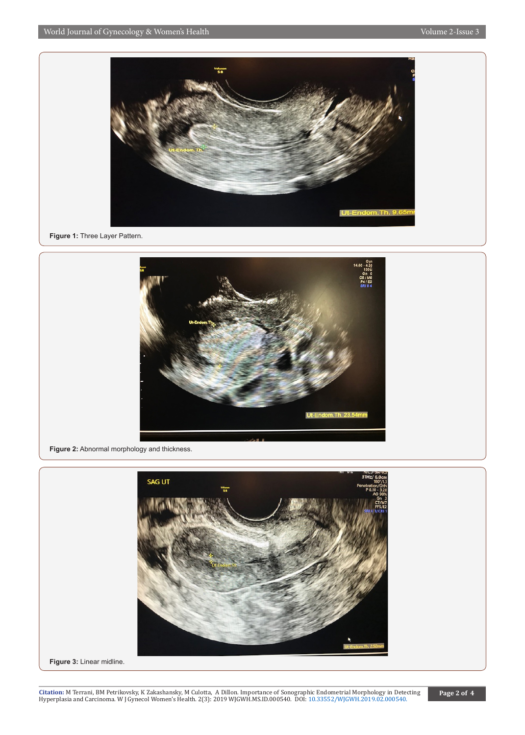

**Figure 1:** Three Layer Pattern.



**Figure 2:** Abnormal morphology and thickness.



**Figure 3:** Linear midline.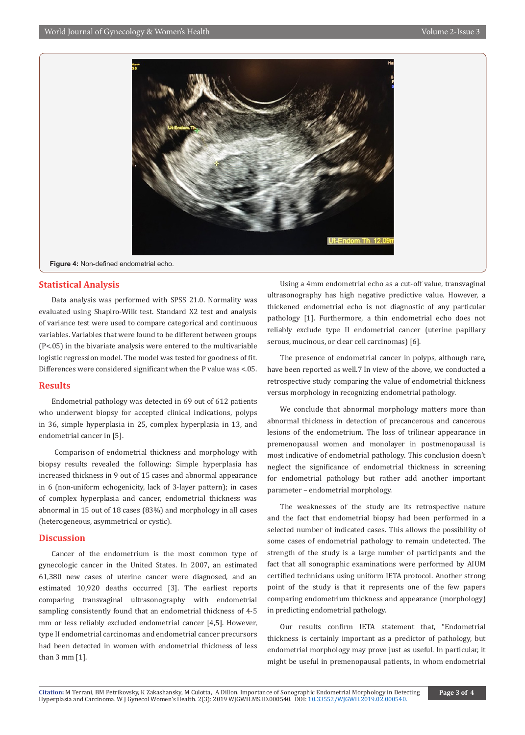

**Figure 4:** Non-defined endometrial echo.

# **Statistical Analysis**

Data analysis was performed with SPSS 21.0. Normality was evaluated using Shapiro-Wilk test. Standard X2 test and analysis of variance test were used to compare categorical and continuous variables. Variables that were found to be different between groups (P<.05) in the bivariate analysis were entered to the multivariable logistic regression model. The model was tested for goodness of fit. Differences were considered significant when the P value was <.05.

### **Results**

Endometrial pathology was detected in 69 out of 612 patients who underwent biopsy for accepted clinical indications, polyps in 36, simple hyperplasia in 25, complex hyperplasia in 13, and endometrial cancer in [5].

 Comparison of endometrial thickness and morphology with biopsy results revealed the following: Simple hyperplasia has increased thickness in 9 out of 15 cases and abnormal appearance in 6 (non-uniform echogenicity, lack of 3-layer pattern); in cases of complex hyperplasia and cancer, endometrial thickness was abnormal in 15 out of 18 cases (83%) and morphology in all cases (heterogeneous, asymmetrical or cystic).

## **Discussion**

Cancer of the endometrium is the most common type of gynecologic cancer in the United States. In 2007, an estimated 61,380 new cases of uterine cancer were diagnosed, and an estimated 10,920 deaths occurred [3]. The earliest reports comparing transvaginal ultrasonography with endometrial sampling consistently found that an endometrial thickness of 4-5 mm or less reliably excluded endometrial cancer [4,5]. However, type II endometrial carcinomas and endometrial cancer precursors had been detected in women with endometrial thickness of less than 3 mm [1].

Using a 4mm endometrial echo as a cut-off value, transvaginal ultrasonography has high negative predictive value. However, a thickened endometrial echo is not diagnostic of any particular pathology [1]. Furthermore, a thin endometrial echo does not reliably exclude type II endometrial cancer (uterine papillary serous, mucinous, or clear cell carcinomas) [6].

The presence of endometrial cancer in polyps, although rare, have been reported as well.7 In view of the above, we conducted a retrospective study comparing the value of endometrial thickness versus morphology in recognizing endometrial pathology.

We conclude that abnormal morphology matters more than abnormal thickness in detection of precancerous and cancerous lesions of the endometrium. The loss of trilinear appearance in premenopausal women and monolayer in postmenopausal is most indicative of endometrial pathology. This conclusion doesn't neglect the significance of endometrial thickness in screening for endometrial pathology but rather add another important parameter – endometrial morphology.

The weaknesses of the study are its retrospective nature and the fact that endometrial biopsy had been performed in a selected number of indicated cases. This allows the possibility of some cases of endometrial pathology to remain undetected. The strength of the study is a large number of participants and the fact that all sonographic examinations were performed by AIUM certified technicians using uniform IETA protocol. Another strong point of the study is that it represents one of the few papers comparing endometrium thickness and appearance (morphology) in predicting endometrial pathology.

Our results confirm IETA statement that, "Endometrial thickness is certainly important as a predictor of pathology, but endometrial morphology may prove just as useful. In particular, it might be useful in premenopausal patients, in whom endometrial